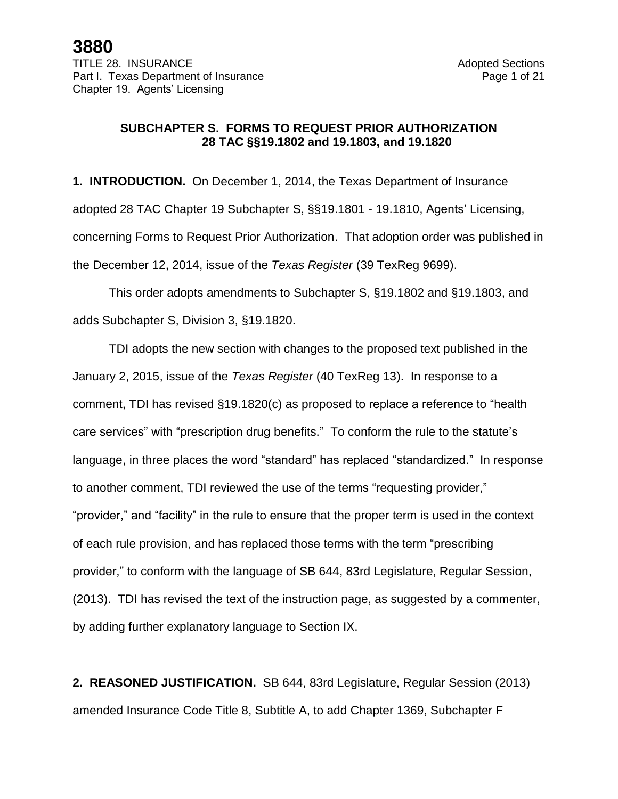### **SUBCHAPTER S. FORMS TO REQUEST PRIOR AUTHORIZATION 28 TAC §§19.1802 and 19.1803, and 19.1820**

**1. INTRODUCTION.** On December 1, 2014, the Texas Department of Insurance adopted 28 TAC Chapter 19 Subchapter S, §§19.1801 - 19.1810, Agents' Licensing, concerning Forms to Request Prior Authorization. That adoption order was published in the December 12, 2014, issue of the *Texas Register* (39 TexReg 9699).

This order adopts amendments to Subchapter S, §19.1802 and §19.1803, and adds Subchapter S, Division 3, §19.1820.

TDI adopts the new section with changes to the proposed text published in the January 2, 2015, issue of the *Texas Register* (40 TexReg 13). In response to a comment, TDI has revised §19.1820(c) as proposed to replace a reference to "health care services" with "prescription drug benefits." To conform the rule to the statute's language, in three places the word "standard" has replaced "standardized." In response to another comment, TDI reviewed the use of the terms "requesting provider," "provider," and "facility" in the rule to ensure that the proper term is used in the context of each rule provision, and has replaced those terms with the term "prescribing provider," to conform with the language of SB 644, 83rd Legislature, Regular Session, (2013). TDI has revised the text of the instruction page, as suggested by a commenter, by adding further explanatory language to Section IX.

**2. REASONED JUSTIFICATION.** SB 644, 83rd Legislature, Regular Session (2013) amended Insurance Code Title 8, Subtitle A, to add Chapter 1369, Subchapter F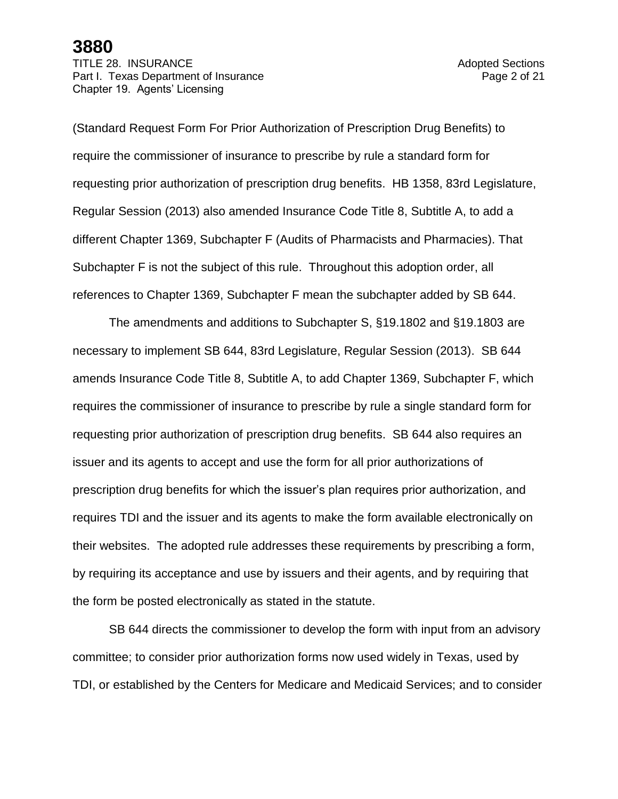TITLE 28. INSURANCE **Adopted Sections** Part I. Texas Department of Insurance **Page 2 of 21** Page 2 of 21 Chapter 19. Agents' Licensing

(Standard Request Form For Prior Authorization of Prescription Drug Benefits) to require the commissioner of insurance to prescribe by rule a standard form for requesting prior authorization of prescription drug benefits. HB 1358, 83rd Legislature, Regular Session (2013) also amended Insurance Code Title 8, Subtitle A, to add a different Chapter 1369, Subchapter F (Audits of Pharmacists and Pharmacies). That Subchapter F is not the subject of this rule. Throughout this adoption order, all references to Chapter 1369, Subchapter F mean the subchapter added by SB 644.

The amendments and additions to Subchapter S, §19.1802 and §19.1803 are necessary to implement SB 644, 83rd Legislature, Regular Session (2013). SB 644 amends Insurance Code Title 8, Subtitle A, to add Chapter 1369, Subchapter F, which requires the commissioner of insurance to prescribe by rule a single standard form for requesting prior authorization of prescription drug benefits. SB 644 also requires an issuer and its agents to accept and use the form for all prior authorizations of prescription drug benefits for which the issuer's plan requires prior authorization, and requires TDI and the issuer and its agents to make the form available electronically on their websites. The adopted rule addresses these requirements by prescribing a form, by requiring its acceptance and use by issuers and their agents, and by requiring that the form be posted electronically as stated in the statute.

SB 644 directs the commissioner to develop the form with input from an advisory committee; to consider prior authorization forms now used widely in Texas, used by TDI, or established by the Centers for Medicare and Medicaid Services; and to consider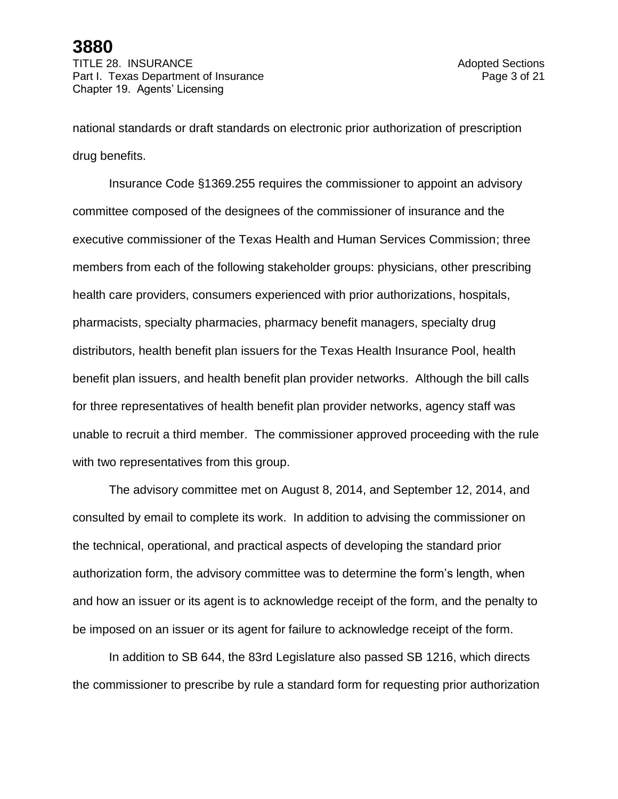TITLE 28. INSURANCE **Adopted Sections** Part I. Texas Department of Insurance **Page 3** of 21 Chapter 19. Agents' Licensing

national standards or draft standards on electronic prior authorization of prescription drug benefits.

Insurance Code §1369.255 requires the commissioner to appoint an advisory committee composed of the designees of the commissioner of insurance and the executive commissioner of the Texas Health and Human Services Commission; three members from each of the following stakeholder groups: physicians, other prescribing health care providers, consumers experienced with prior authorizations, hospitals, pharmacists, specialty pharmacies, pharmacy benefit managers, specialty drug distributors, health benefit plan issuers for the Texas Health Insurance Pool, health benefit plan issuers, and health benefit plan provider networks. Although the bill calls for three representatives of health benefit plan provider networks, agency staff was unable to recruit a third member. The commissioner approved proceeding with the rule with two representatives from this group.

The advisory committee met on August 8, 2014, and September 12, 2014, and consulted by email to complete its work. In addition to advising the commissioner on the technical, operational, and practical aspects of developing the standard prior authorization form, the advisory committee was to determine the form's length, when and how an issuer or its agent is to acknowledge receipt of the form, and the penalty to be imposed on an issuer or its agent for failure to acknowledge receipt of the form.

In addition to SB 644, the 83rd Legislature also passed SB 1216, which directs the commissioner to prescribe by rule a standard form for requesting prior authorization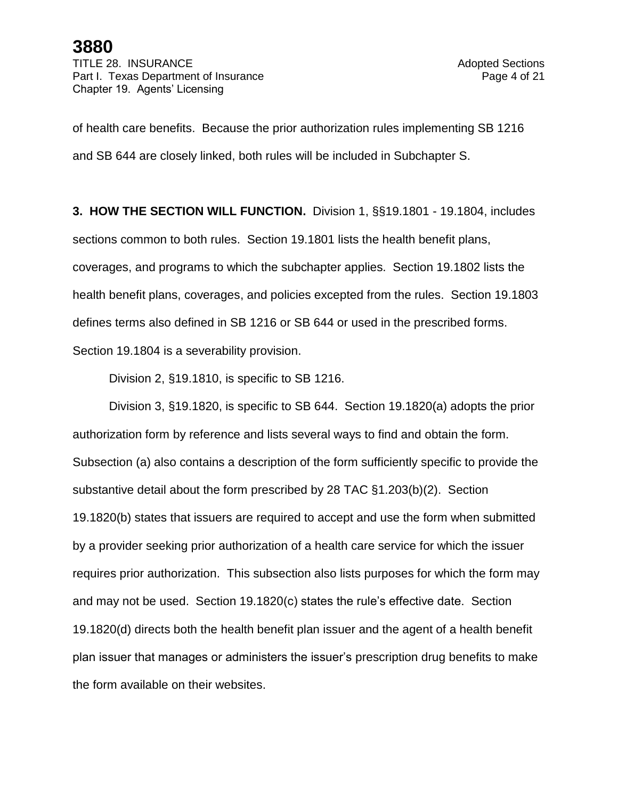TITLE 28. INSURANCE **Adopted Sections** Part I. Texas Department of Insurance **Page 4 of 21** Page 4 of 21 Chapter 19. Agents' Licensing

of health care benefits. Because the prior authorization rules implementing SB 1216 and SB 644 are closely linked, both rules will be included in Subchapter S.

**3. HOW THE SECTION WILL FUNCTION.** Division 1, §§19.1801 - 19.1804, includes sections common to both rules. Section 19.1801 lists the health benefit plans, coverages, and programs to which the subchapter applies. Section 19.1802 lists the health benefit plans, coverages, and policies excepted from the rules. Section 19.1803 defines terms also defined in SB 1216 or SB 644 or used in the prescribed forms. Section 19.1804 is a severability provision.

Division 2, §19.1810, is specific to SB 1216.

Division 3, §19.1820, is specific to SB 644. Section 19.1820(a) adopts the prior authorization form by reference and lists several ways to find and obtain the form. Subsection (a) also contains a description of the form sufficiently specific to provide the substantive detail about the form prescribed by 28 TAC §1.203(b)(2). Section 19.1820(b) states that issuers are required to accept and use the form when submitted by a provider seeking prior authorization of a health care service for which the issuer requires prior authorization. This subsection also lists purposes for which the form may and may not be used. Section 19.1820(c) states the rule's effective date. Section 19.1820(d) directs both the health benefit plan issuer and the agent of a health benefit plan issuer that manages or administers the issuer's prescription drug benefits to make the form available on their websites.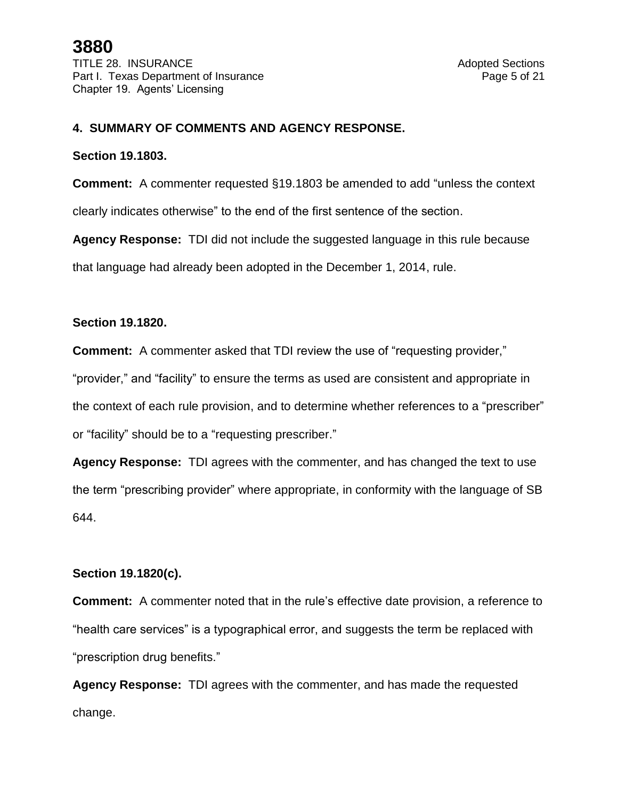### **4. SUMMARY OF COMMENTS AND AGENCY RESPONSE.**

#### **Section 19.1803.**

**Comment:** A commenter requested §19.1803 be amended to add "unless the context clearly indicates otherwise" to the end of the first sentence of the section.

**Agency Response:** TDI did not include the suggested language in this rule because that language had already been adopted in the December 1, 2014, rule.

#### **Section 19.1820.**

**Comment:** A commenter asked that TDI review the use of "requesting provider,"

"provider," and "facility" to ensure the terms as used are consistent and appropriate in the context of each rule provision, and to determine whether references to a "prescriber" or "facility" should be to a "requesting prescriber."

**Agency Response:** TDI agrees with the commenter, and has changed the text to use the term "prescribing provider" where appropriate, in conformity with the language of SB 644.

#### **Section 19.1820(c).**

**Comment:** A commenter noted that in the rule's effective date provision, a reference to "health care services" is a typographical error, and suggests the term be replaced with "prescription drug benefits."

**Agency Response:** TDI agrees with the commenter, and has made the requested change.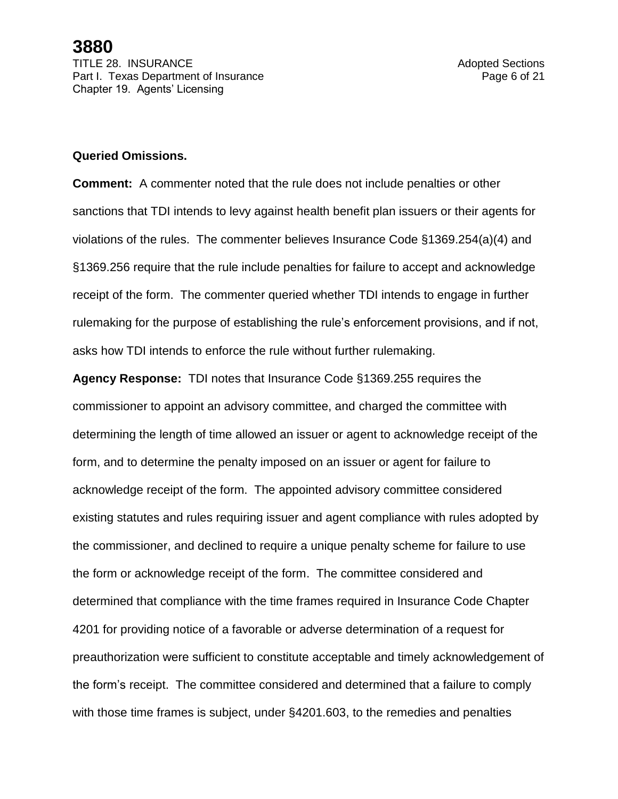### **Queried Omissions.**

**Comment:** A commenter noted that the rule does not include penalties or other sanctions that TDI intends to levy against health benefit plan issuers or their agents for violations of the rules. The commenter believes Insurance Code §1369.254(a)(4) and §1369.256 require that the rule include penalties for failure to accept and acknowledge receipt of the form. The commenter queried whether TDI intends to engage in further rulemaking for the purpose of establishing the rule's enforcement provisions, and if not, asks how TDI intends to enforce the rule without further rulemaking.

**Agency Response:** TDI notes that Insurance Code §1369.255 requires the commissioner to appoint an advisory committee, and charged the committee with determining the length of time allowed an issuer or agent to acknowledge receipt of the form, and to determine the penalty imposed on an issuer or agent for failure to acknowledge receipt of the form. The appointed advisory committee considered existing statutes and rules requiring issuer and agent compliance with rules adopted by the commissioner, and declined to require a unique penalty scheme for failure to use the form or acknowledge receipt of the form. The committee considered and determined that compliance with the time frames required in Insurance Code Chapter 4201 for providing notice of a favorable or adverse determination of a request for preauthorization were sufficient to constitute acceptable and timely acknowledgement of the form's receipt. The committee considered and determined that a failure to comply with those time frames is subject, under §4201.603, to the remedies and penalties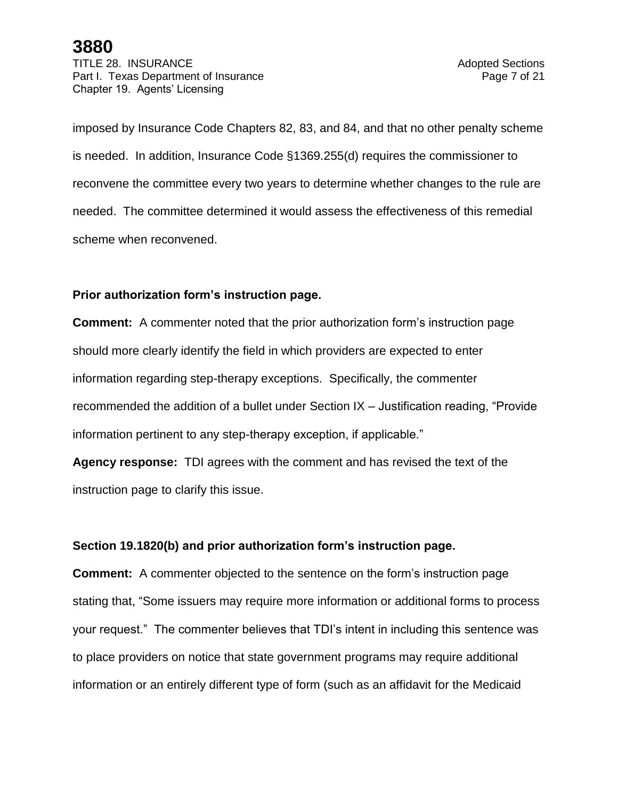TITLE 28. INSURANCE **Adopted Sections** Part I. Texas Department of Insurance **Page 7** of 21 Chapter 19. Agents' Licensing

imposed by Insurance Code Chapters 82, 83, and 84, and that no other penalty scheme is needed. In addition, Insurance Code §1369.255(d) requires the commissioner to reconvene the committee every two years to determine whether changes to the rule are needed. The committee determined it would assess the effectiveness of this remedial scheme when reconvened.

### **Prior authorization form's instruction page.**

**Comment:** A commenter noted that the prior authorization form's instruction page should more clearly identify the field in which providers are expected to enter information regarding step-therapy exceptions. Specifically, the commenter recommended the addition of a bullet under Section IX – Justification reading, "Provide information pertinent to any step-therapy exception, if applicable."

**Agency response:** TDI agrees with the comment and has revised the text of the instruction page to clarify this issue.

#### **Section 19.1820(b) and prior authorization form's instruction page.**

**Comment:** A commenter objected to the sentence on the form's instruction page stating that, "Some issuers may require more information or additional forms to process your request." The commenter believes that TDI's intent in including this sentence was to place providers on notice that state government programs may require additional information or an entirely different type of form (such as an affidavit for the Medicaid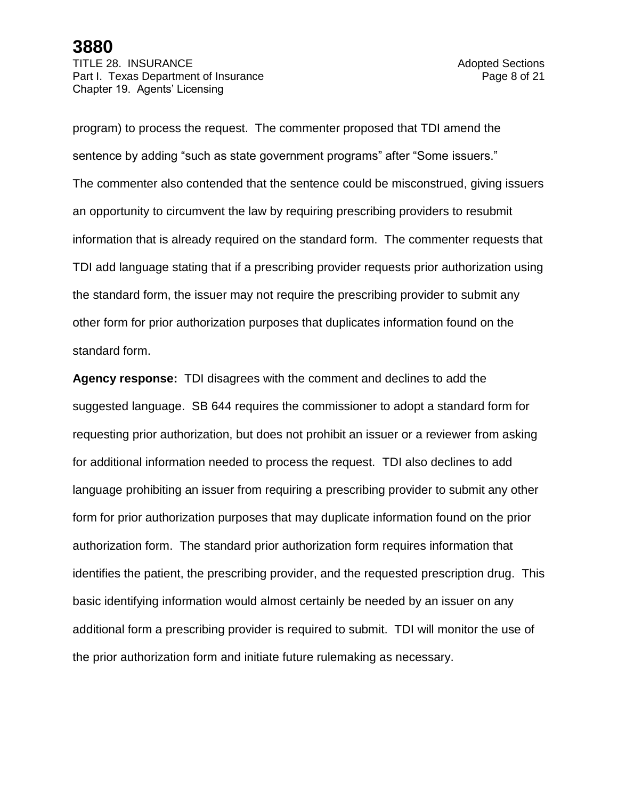TITLE 28. INSURANCE **Adopted Sections** Part I. Texas Department of Insurance **Page 8** of 21 Chapter 19. Agents' Licensing

program) to process the request. The commenter proposed that TDI amend the sentence by adding "such as state government programs" after "Some issuers." The commenter also contended that the sentence could be misconstrued, giving issuers an opportunity to circumvent the law by requiring prescribing providers to resubmit information that is already required on the standard form. The commenter requests that TDI add language stating that if a prescribing provider requests prior authorization using the standard form, the issuer may not require the prescribing provider to submit any other form for prior authorization purposes that duplicates information found on the standard form.

**Agency response:** TDI disagrees with the comment and declines to add the suggested language. SB 644 requires the commissioner to adopt a standard form for requesting prior authorization, but does not prohibit an issuer or a reviewer from asking for additional information needed to process the request. TDI also declines to add language prohibiting an issuer from requiring a prescribing provider to submit any other form for prior authorization purposes that may duplicate information found on the prior authorization form. The standard prior authorization form requires information that identifies the patient, the prescribing provider, and the requested prescription drug. This basic identifying information would almost certainly be needed by an issuer on any additional form a prescribing provider is required to submit. TDI will monitor the use of the prior authorization form and initiate future rulemaking as necessary.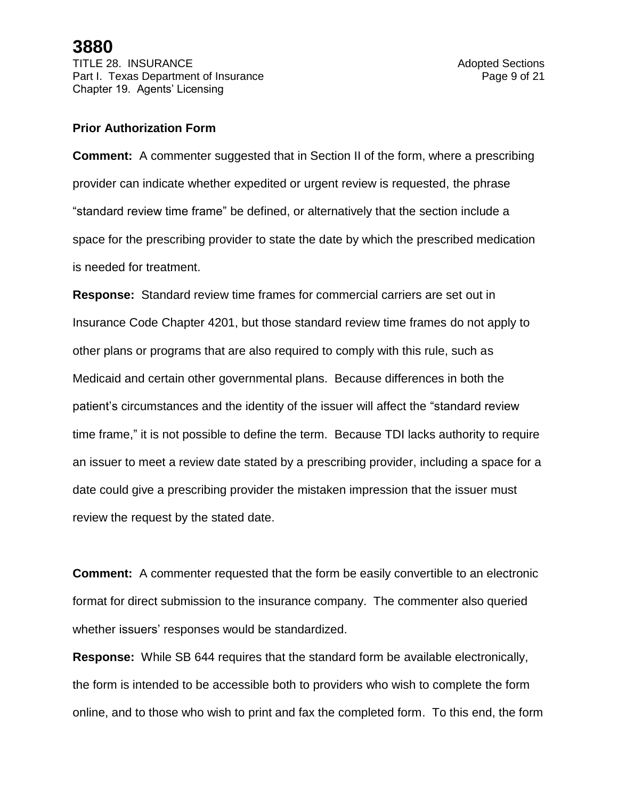#### **Prior Authorization Form**

**Comment:** A commenter suggested that in Section II of the form, where a prescribing provider can indicate whether expedited or urgent review is requested, the phrase "standard review time frame" be defined, or alternatively that the section include a space for the prescribing provider to state the date by which the prescribed medication is needed for treatment.

**Response:** Standard review time frames for commercial carriers are set out in Insurance Code Chapter 4201, but those standard review time frames do not apply to other plans or programs that are also required to comply with this rule, such as Medicaid and certain other governmental plans. Because differences in both the patient's circumstances and the identity of the issuer will affect the "standard review time frame," it is not possible to define the term. Because TDI lacks authority to require an issuer to meet a review date stated by a prescribing provider, including a space for a date could give a prescribing provider the mistaken impression that the issuer must review the request by the stated date.

**Comment:** A commenter requested that the form be easily convertible to an electronic format for direct submission to the insurance company. The commenter also queried whether issuers' responses would be standardized.

**Response:** While SB 644 requires that the standard form be available electronically, the form is intended to be accessible both to providers who wish to complete the form online, and to those who wish to print and fax the completed form. To this end, the form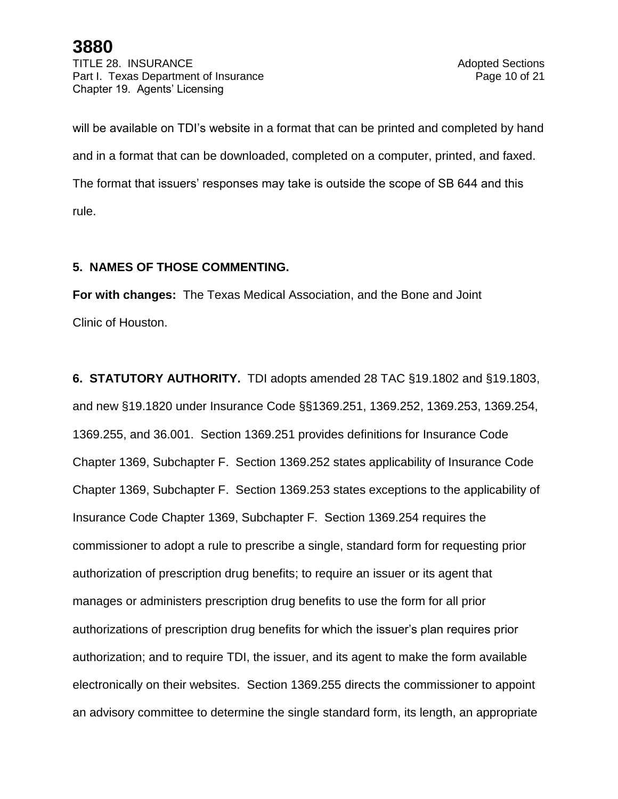TITLE 28. INSURANCE **Adopted Sections** Part I. Texas Department of Insurance **Page 10 of 21** Page 10 of 21 Chapter 19. Agents' Licensing

will be available on TDI's website in a format that can be printed and completed by hand and in a format that can be downloaded, completed on a computer, printed, and faxed. The format that issuers' responses may take is outside the scope of SB 644 and this rule.

### **5. NAMES OF THOSE COMMENTING.**

**For with changes:** The Texas Medical Association, and the Bone and Joint Clinic of Houston.

**6. STATUTORY AUTHORITY.** TDI adopts amended 28 TAC §19.1802 and §19.1803, and new §19.1820 under Insurance Code §§1369.251, 1369.252, 1369.253, 1369.254, 1369.255, and 36.001. Section 1369.251 provides definitions for Insurance Code Chapter 1369, Subchapter F. Section 1369.252 states applicability of Insurance Code Chapter 1369, Subchapter F. Section 1369.253 states exceptions to the applicability of Insurance Code Chapter 1369, Subchapter F. Section 1369.254 requires the commissioner to adopt a rule to prescribe a single, standard form for requesting prior authorization of prescription drug benefits; to require an issuer or its agent that manages or administers prescription drug benefits to use the form for all prior authorizations of prescription drug benefits for which the issuer's plan requires prior authorization; and to require TDI, the issuer, and its agent to make the form available electronically on their websites. Section 1369.255 directs the commissioner to appoint an advisory committee to determine the single standard form, its length, an appropriate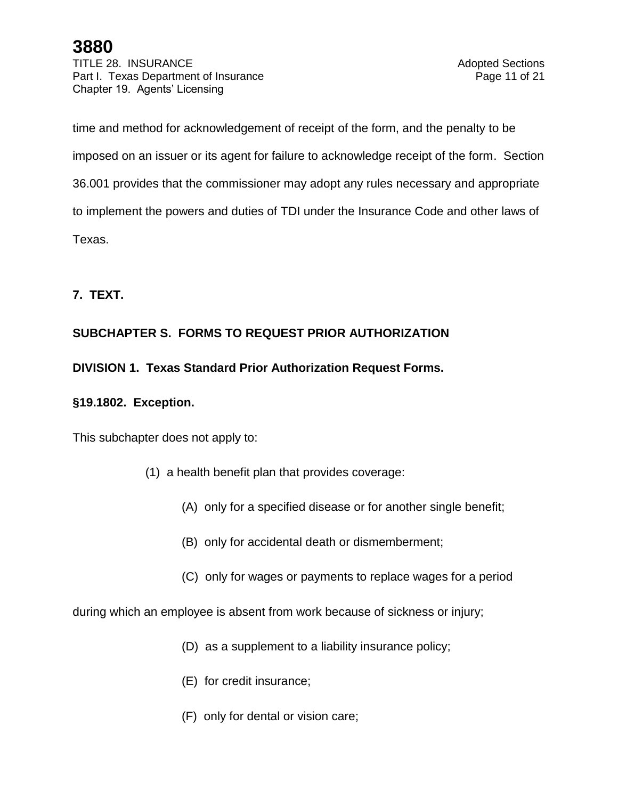TITLE 28. INSURANCE And Adopted Sections Part I. Texas Department of Insurance **Page 11 of 21** and 21 Chapter 19. Agents' Licensing

time and method for acknowledgement of receipt of the form, and the penalty to be imposed on an issuer or its agent for failure to acknowledge receipt of the form. Section 36.001 provides that the commissioner may adopt any rules necessary and appropriate to implement the powers and duties of TDI under the Insurance Code and other laws of Texas.

### **7. TEXT.**

### **SUBCHAPTER S. FORMS TO REQUEST PRIOR AUTHORIZATION**

### **DIVISION 1. Texas Standard Prior Authorization Request Forms.**

### **§19.1802. Exception.**

This subchapter does not apply to:

- (1) a health benefit plan that provides coverage:
	- (A) only for a specified disease or for another single benefit;
	- (B) only for accidental death or dismemberment;
	- (C) only for wages or payments to replace wages for a period

during which an employee is absent from work because of sickness or injury;

- (D) as a supplement to a liability insurance policy;
- (E) for credit insurance;
- (F) only for dental or vision care;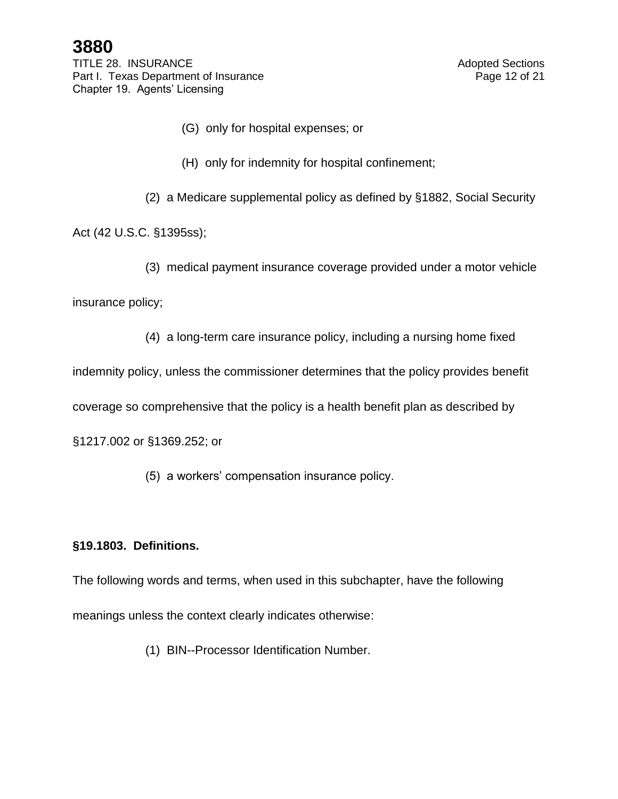TITLE 28. INSURANCE And Adopted Sections Part I. Texas Department of Insurance **Page 12 of 21** Page 12 of 21 Chapter 19. Agents' Licensing

- (G) only for hospital expenses; or
- (H) only for indemnity for hospital confinement;
- (2) a Medicare supplemental policy as defined by §1882, Social Security

Act (42 U.S.C. §1395ss);

(3) medical payment insurance coverage provided under a motor vehicle

insurance policy;

(4) a long-term care insurance policy, including a nursing home fixed

indemnity policy, unless the commissioner determines that the policy provides benefit

coverage so comprehensive that the policy is a health benefit plan as described by

§1217.002 or §1369.252; or

(5) a workers' compensation insurance policy.

### **§19.1803. Definitions.**

The following words and terms, when used in this subchapter, have the following meanings unless the context clearly indicates otherwise:

(1) BIN--Processor Identification Number.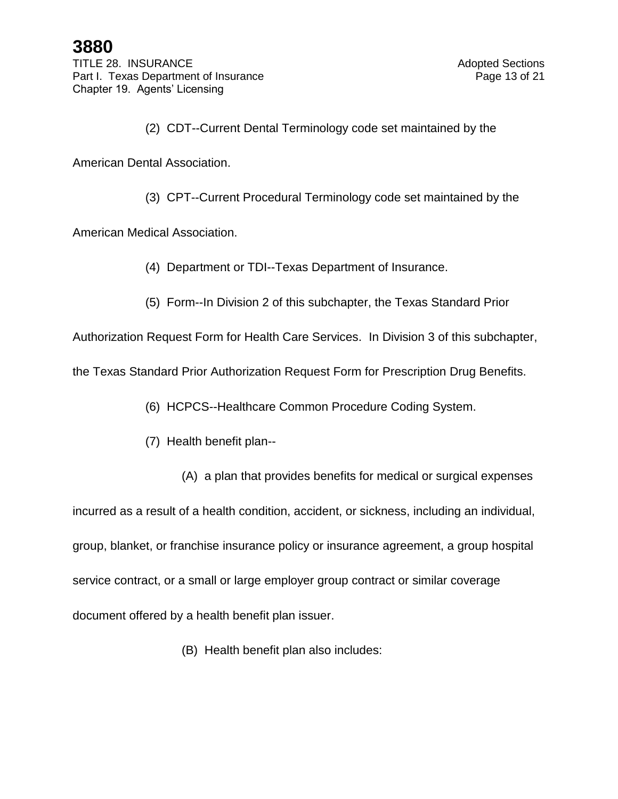(2) CDT--Current Dental Terminology code set maintained by the

American Dental Association.

(3) CPT--Current Procedural Terminology code set maintained by the

American Medical Association.

- (4) Department or TDI--Texas Department of Insurance.
- (5) Form--In Division 2 of this subchapter, the Texas Standard Prior

Authorization Request Form for Health Care Services. In Division 3 of this subchapter,

the Texas Standard Prior Authorization Request Form for Prescription Drug Benefits.

(6) HCPCS--Healthcare Common Procedure Coding System.

- (7) Health benefit plan--
	- (A) a plan that provides benefits for medical or surgical expenses

incurred as a result of a health condition, accident, or sickness, including an individual, group, blanket, or franchise insurance policy or insurance agreement, a group hospital service contract, or a small or large employer group contract or similar coverage document offered by a health benefit plan issuer.

(B) Health benefit plan also includes: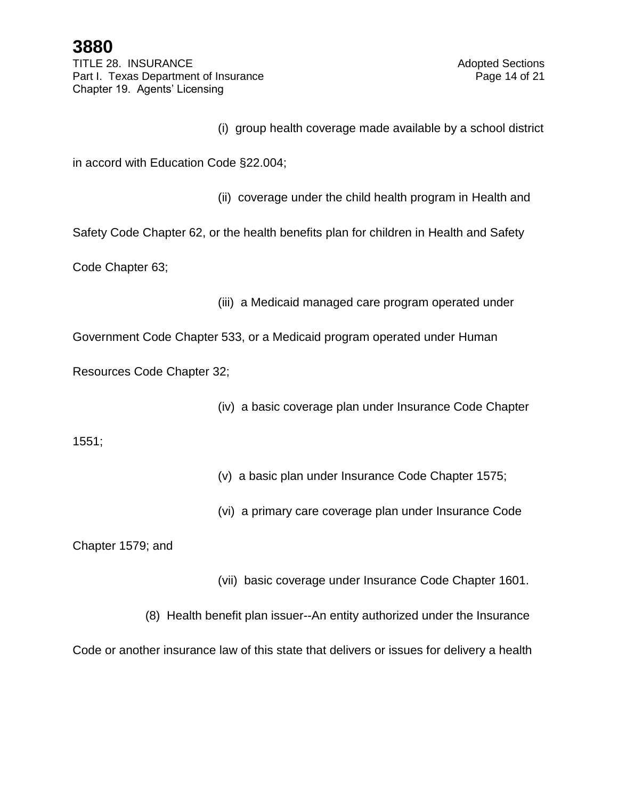TITLE 28. INSURANCE And Adopted Sections Part I. Texas Department of Insurance **Page 14 of 21** Page 14 of 21 Chapter 19. Agents' Licensing

(i) group health coverage made available by a school district

in accord with Education Code §22.004;

(ii) coverage under the child health program in Health and

Safety Code Chapter 62, or the health benefits plan for children in Health and Safety

Code Chapter 63;

(iii) a Medicaid managed care program operated under

Government Code Chapter 533, or a Medicaid program operated under Human

Resources Code Chapter 32;

(iv) a basic coverage plan under Insurance Code Chapter

1551;

(v) a basic plan under Insurance Code Chapter 1575;

(vi) a primary care coverage plan under Insurance Code

Chapter 1579; and

(vii) basic coverage under Insurance Code Chapter 1601.

(8) Health benefit plan issuer--An entity authorized under the Insurance

Code or another insurance law of this state that delivers or issues for delivery a health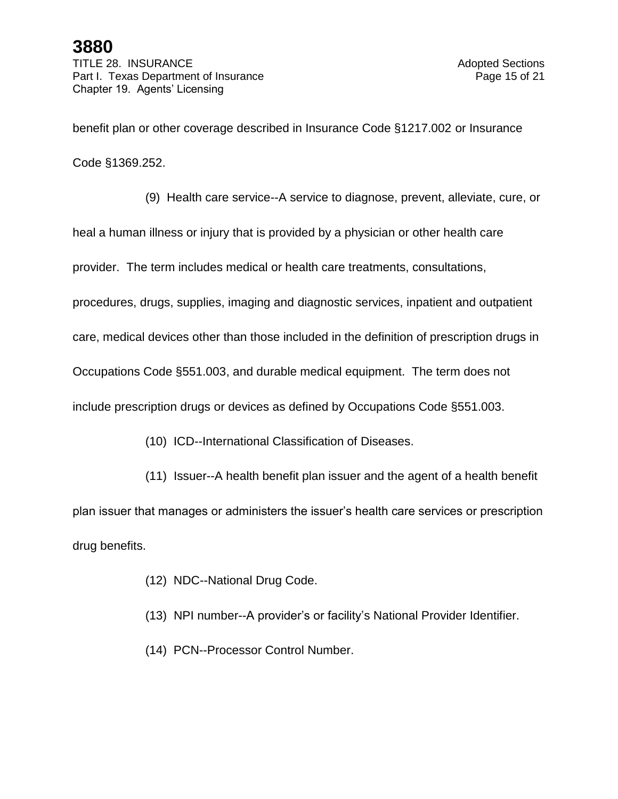TITLE 28. INSURANCE And Adopted Sections Part I. Texas Department of Insurance **Page 15 of 21** Page 15 of 21 Chapter 19. Agents' Licensing

benefit plan or other coverage described in Insurance Code §1217.002 or Insurance

Code §1369.252.

(9) Health care service--A service to diagnose, prevent, alleviate, cure, or

heal a human illness or injury that is provided by a physician or other health care

provider. The term includes medical or health care treatments, consultations,

procedures, drugs, supplies, imaging and diagnostic services, inpatient and outpatient

care, medical devices other than those included in the definition of prescription drugs in

Occupations Code §551.003, and durable medical equipment. The term does not

include prescription drugs or devices as defined by Occupations Code §551.003.

(10) ICD--International Classification of Diseases.

(11) Issuer--A health benefit plan issuer and the agent of a health benefit plan issuer that manages or administers the issuer's health care services or prescription drug benefits.

- (12) NDC--National Drug Code.
- (13) NPI number--A provider's or facility's National Provider Identifier.
- (14) PCN--Processor Control Number.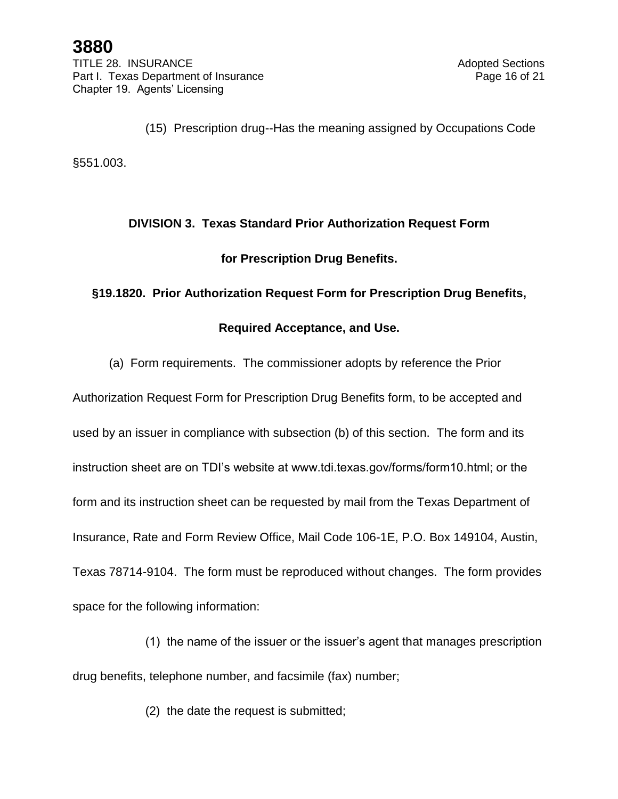(15) Prescription drug--Has the meaning assigned by Occupations Code

§551.003.

# **DIVISION 3. Texas Standard Prior Authorization Request Form**

### **for Prescription Drug Benefits.**

### **§19.1820. Prior Authorization Request Form for Prescription Drug Benefits,**

### **Required Acceptance, and Use.**

(a) Form requirements. The commissioner adopts by reference the Prior

Authorization Request Form for Prescription Drug Benefits form, to be accepted and used by an issuer in compliance with subsection (b) of this section. The form and its instruction sheet are on TDI's website at www.tdi.texas.gov/forms/form10.html; or the form and its instruction sheet can be requested by mail from the Texas Department of Insurance, Rate and Form Review Office, Mail Code 106-1E, P.O. Box 149104, Austin, Texas 78714-9104. The form must be reproduced without changes. The form provides space for the following information:

- (1) the name of the issuer or the issuer's agent that manages prescription drug benefits, telephone number, and facsimile (fax) number;
	- (2) the date the request is submitted;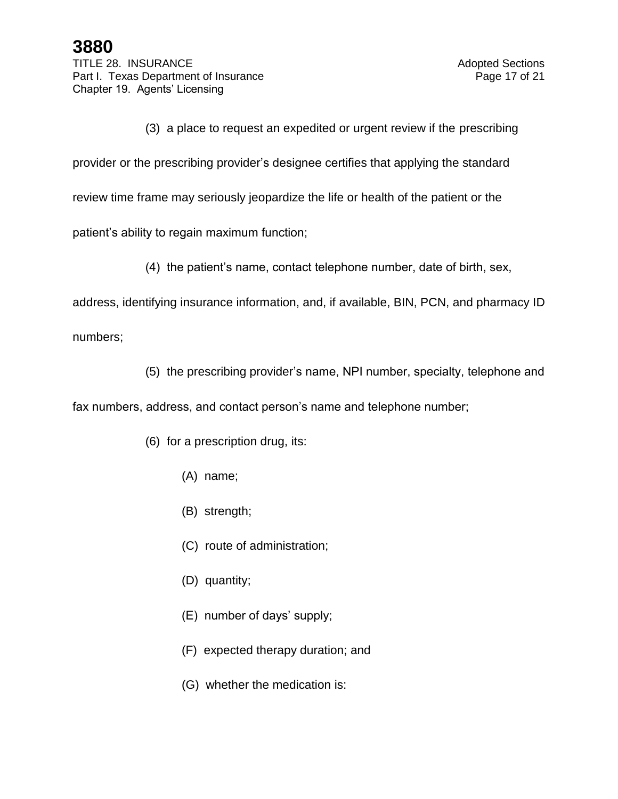TITLE 28. INSURANCE And Adopted Sections Part I. Texas Department of Insurance **Page 17 of 21** Page 17 of 21 Chapter 19. Agents' Licensing

(3) a place to request an expedited or urgent review if the prescribing

provider or the prescribing provider's designee certifies that applying the standard

review time frame may seriously jeopardize the life or health of the patient or the

patient's ability to regain maximum function;

(4) the patient's name, contact telephone number, date of birth, sex,

address, identifying insurance information, and, if available, BIN, PCN, and pharmacy ID

numbers;

(5) the prescribing provider's name, NPI number, specialty, telephone and

fax numbers, address, and contact person's name and telephone number;

- (6) for a prescription drug, its:
	- (A) name;
	- (B) strength;
	- (C) route of administration;
	- (D) quantity;
	- (E) number of days' supply;
	- (F) expected therapy duration; and
	- (G) whether the medication is: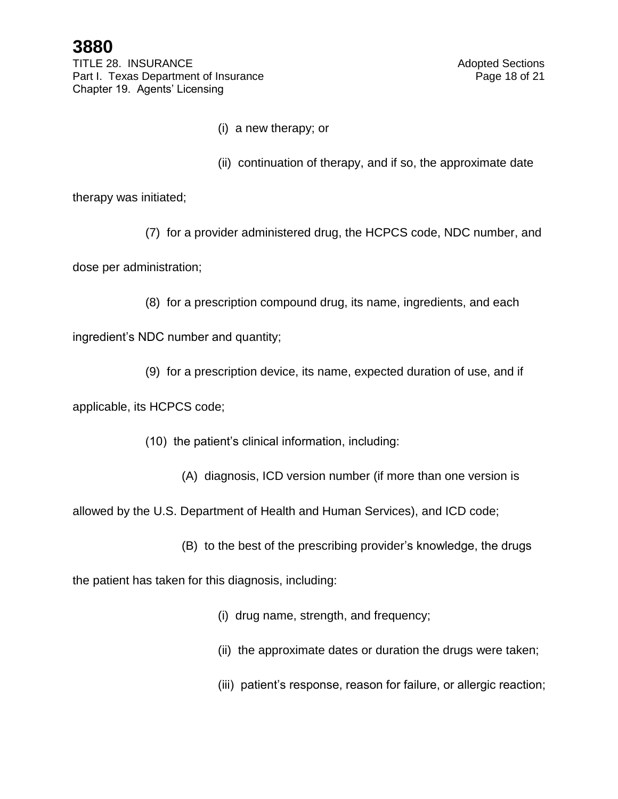TITLE 28. INSURANCE And Adopted Sections Part I. Texas Department of Insurance **Page 18 of 21** Page 18 of 21 Chapter 19. Agents' Licensing

- (i) a new therapy; or
- (ii) continuation of therapy, and if so, the approximate date

therapy was initiated;

(7) for a provider administered drug, the HCPCS code, NDC number, and

dose per administration;

(8) for a prescription compound drug, its name, ingredients, and each

ingredient's NDC number and quantity;

(9) for a prescription device, its name, expected duration of use, and if

applicable, its HCPCS code;

- (10) the patient's clinical information, including:
	- (A) diagnosis, ICD version number (if more than one version is

allowed by the U.S. Department of Health and Human Services), and ICD code;

(B) to the best of the prescribing provider's knowledge, the drugs

the patient has taken for this diagnosis, including:

- (i) drug name, strength, and frequency;
- (ii) the approximate dates or duration the drugs were taken;
- (iii) patient's response, reason for failure, or allergic reaction;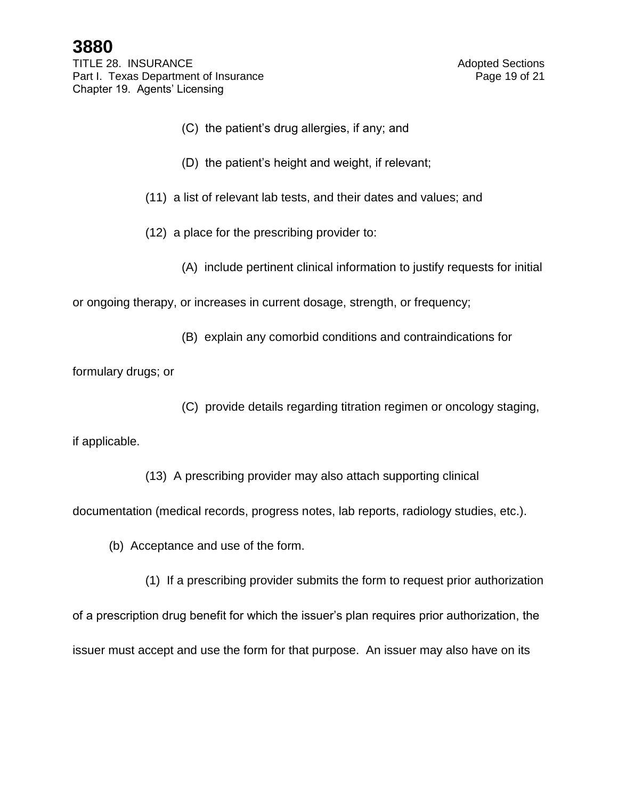TITLE 28. INSURANCE And Adopted Sections Part I. Texas Department of Insurance **Page 19 of 21** Page 19 of 21 Chapter 19. Agents' Licensing

- (C) the patient's drug allergies, if any; and
- (D) the patient's height and weight, if relevant;
- (11) a list of relevant lab tests, and their dates and values; and
- (12) a place for the prescribing provider to:
	- (A) include pertinent clinical information to justify requests for initial

or ongoing therapy, or increases in current dosage, strength, or frequency;

(B) explain any comorbid conditions and contraindications for

formulary drugs; or

(C) provide details regarding titration regimen or oncology staging,

if applicable.

(13) A prescribing provider may also attach supporting clinical

documentation (medical records, progress notes, lab reports, radiology studies, etc.).

(b) Acceptance and use of the form.

(1) If a prescribing provider submits the form to request prior authorization

of a prescription drug benefit for which the issuer's plan requires prior authorization, the

issuer must accept and use the form for that purpose. An issuer may also have on its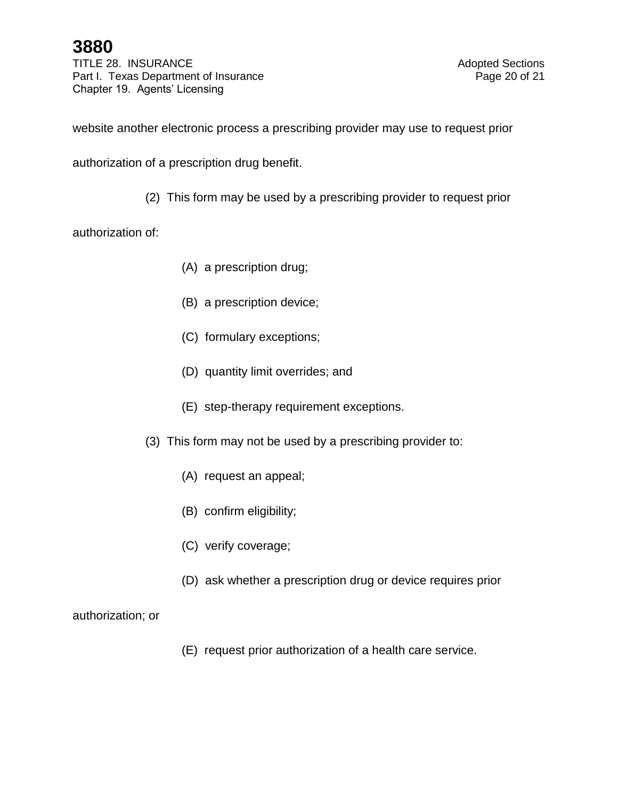TITLE 28. INSURANCE And Adopted Sections Part I. Texas Department of Insurance **Page 20 of 21** Page 20 of 21 Chapter 19. Agents' Licensing

website another electronic process a prescribing provider may use to request prior

authorization of a prescription drug benefit.

(2) This form may be used by a prescribing provider to request prior

authorization of:

- (A) a prescription drug;
- (B) a prescription device;
- (C) formulary exceptions;
- (D) quantity limit overrides; and
- (E) step-therapy requirement exceptions.
- (3) This form may not be used by a prescribing provider to:
	- (A) request an appeal;
	- (B) confirm eligibility;
	- (C) verify coverage;
	- (D) ask whether a prescription drug or device requires prior

### authorization; or

(E) request prior authorization of a health care service.